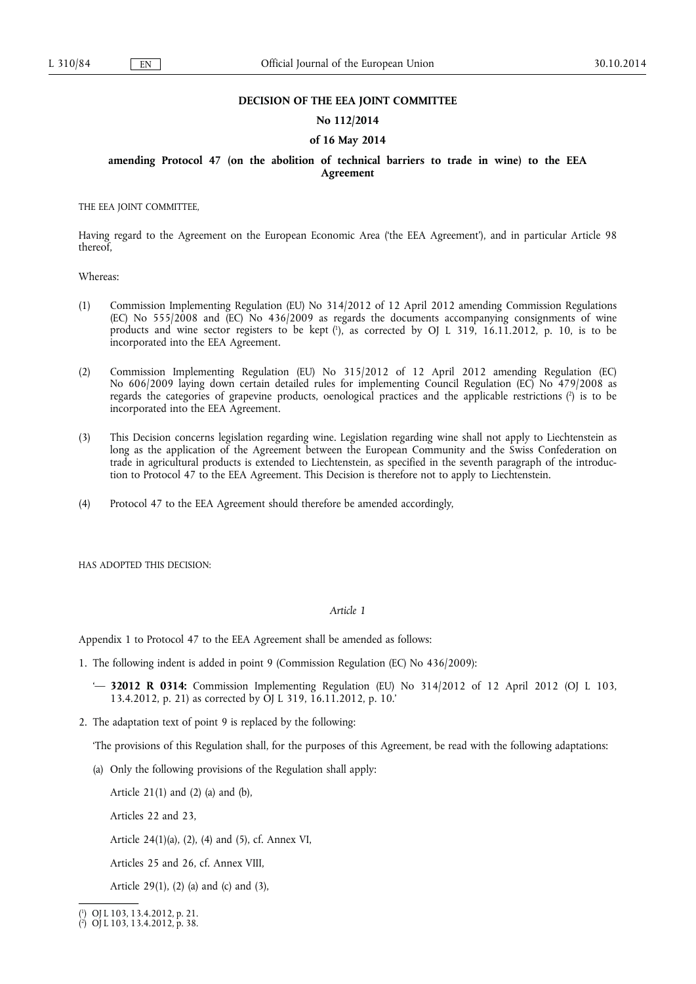### **DECISION OF THE EEA JOINT COMMITTEE**

### **No 112/2014**

### **of 16 May 2014**

## **amending Protocol 47 (on the abolition of technical barriers to trade in wine) to the EEA Agreement**

THE EEA JOINT COMMITTEE,

Having regard to the Agreement on the European Economic Area ('the EEA Agreement'), and in particular Article 98 thereof,

Whereas:

- (1) Commission Implementing Regulation (EU) No 314/2012 of 12 April 2012 amending Commission Regulations (EC) No 555/2008 and (EC) No 436/2009 as regards the documents accompanying consignments of wine products and wine sector registers to be kept (<sup>1</sup>), as corrected by OJ L 319, 16.11.2012, p. 10, is to be incorporated into the EEA Agreement.
- (2) Commission Implementing Regulation (EU) No 315/2012 of 12 April 2012 amending Regulation (EC) No 606/2009 laying down certain detailed rules for implementing Council Regulation (EC) No 479/2008 as regards the categories of grapevine products, oenological practices and the applicable restrictions (2) is to be incorporated into the EEA Agreement.
- (3) This Decision concerns legislation regarding wine. Legislation regarding wine shall not apply to Liechtenstein as long as the application of the Agreement between the European Community and the Swiss Confederation on trade in agricultural products is extended to Liechtenstein, as specified in the seventh paragraph of the introduction to Protocol 47 to the EEA Agreement. This Decision is therefore not to apply to Liechtenstein.
- (4) Protocol 47 to the EEA Agreement should therefore be amended accordingly,

HAS ADOPTED THIS DECISION:

## *Article 1*

Appendix 1 to Protocol 47 to the EEA Agreement shall be amended as follows:

- 1. The following indent is added in point 9 (Commission Regulation (EC) No 436/2009):
	- '— **32012 R 0314:** Commission Implementing Regulation (EU) No 314/2012 of 12 April 2012 (OJ L 103, 13.4.2012, p. 21) as corrected by OJ L 319, 16.11.2012, p. 10.'
- 2. The adaptation text of point 9 is replaced by the following:

'The provisions of this Regulation shall, for the purposes of this Agreement, be read with the following adaptations:

(a) Only the following provisions of the Regulation shall apply:

Article  $21(1)$  and  $(2)$  (a) and  $(b)$ ,

Articles 22 and 23,

Article 24(1)(a), (2), (4) and (5), cf. Annex VI,

Articles 25 and 26, cf. Annex VIII,

Article 29(1), (2) (a) and (c) and (3),

<sup>(</sup> 1 ) OJ L 103, 13.4.2012, p. 21.

<sup>(</sup> 2 ) OJ L 103, 13.4.2012, p. 38.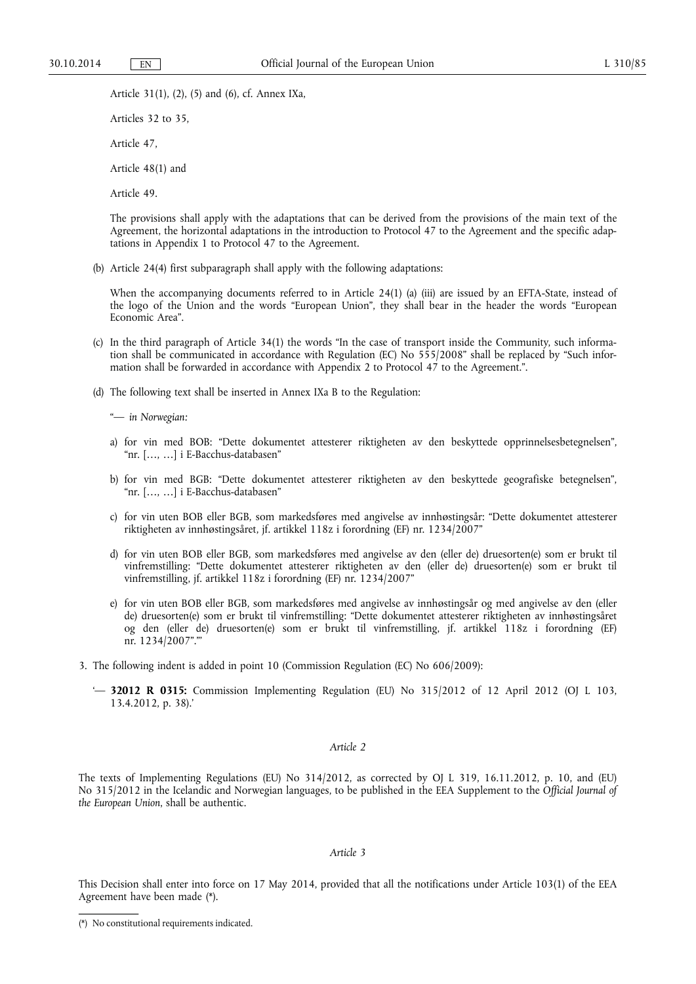Article 31(1), (2), (5) and (6), cf. Annex IXa,

Articles 32 to 35,

Article 47,

Article 48(1) and

Article 49.

The provisions shall apply with the adaptations that can be derived from the provisions of the main text of the Agreement, the horizontal adaptations in the introduction to Protocol 47 to the Agreement and the specific adaptations in Appendix 1 to Protocol 47 to the Agreement.

(b) Article 24(4) first subparagraph shall apply with the following adaptations:

When the accompanying documents referred to in Article 24(1) (a) (iii) are issued by an EFTA-State, instead of the logo of the Union and the words "European Union", they shall bear in the header the words "European Economic Area".

- (c) In the third paragraph of Article 34(1) the words "In the case of transport inside the Community, such information shall be communicated in accordance with Regulation (EC) No 555/2008" shall be replaced by "Such information shall be forwarded in accordance with Appendix 2 to Protocol 47 to the Agreement.".
- (d) The following text shall be inserted in Annex IXa B to the Regulation:

"— *in Norwegian:* 

- a) for vin med BOB: "Dette dokumentet attesterer riktigheten av den beskyttede opprinnelsesbetegnelsen", "nr. […, …] i E-Bacchus-databasen"
- b) for vin med BGB: "Dette dokumentet attesterer riktigheten av den beskyttede geografiske betegnelsen", "nr. […, …] i E-Bacchus-databasen"
- c) for vin uten BOB eller BGB, som markedsføres med angivelse av innhøstingsår: "Dette dokumentet attesterer riktigheten av innhøstingsåret, jf. artikkel 118z i forordning (EF) nr. 1234/2007"
- d) for vin uten BOB eller BGB, som markedsføres med angivelse av den (eller de) druesorten(e) som er brukt til vinfremstilling: "Dette dokumentet attesterer riktigheten av den (eller de) druesorten(e) som er brukt til vinfremstilling, jf. artikkel 118z i forordning (EF) nr. 1234/2007"
- e) for vin uten BOB eller BGB, som markedsføres med angivelse av innhøstingsår og med angivelse av den (eller de) druesorten(e) som er brukt til vinfremstilling: "Dette dokumentet attesterer riktigheten av innhøstingsåret og den (eller de) druesorten(e) som er brukt til vinfremstilling, jf. artikkel 118z i forordning (EF) nr. 1234/2007"."'
- 3. The following indent is added in point 10 (Commission Regulation (EC) No 606/2009):
	- '— **32012 R 0315:** Commission Implementing Regulation (EU) No 315/2012 of 12 April 2012 (OJ L 103, 13.4.2012, p. 38).'

### *Article 2*

The texts of Implementing Regulations (EU) No 314/2012, as corrected by OJ L 319, 16.11.2012, p. 10, and (EU) No 315/2012 in the Icelandic and Norwegian languages, to be published in the EEA Supplement to the *Official Journal of the European Union*, shall be authentic.

### *Article 3*

This Decision shall enter into force on 17 May 2014, provided that all the notifications under Article 103(1) of the EEA Agreement have been made (\*).

<sup>(\*)</sup> No constitutional requirements indicated.